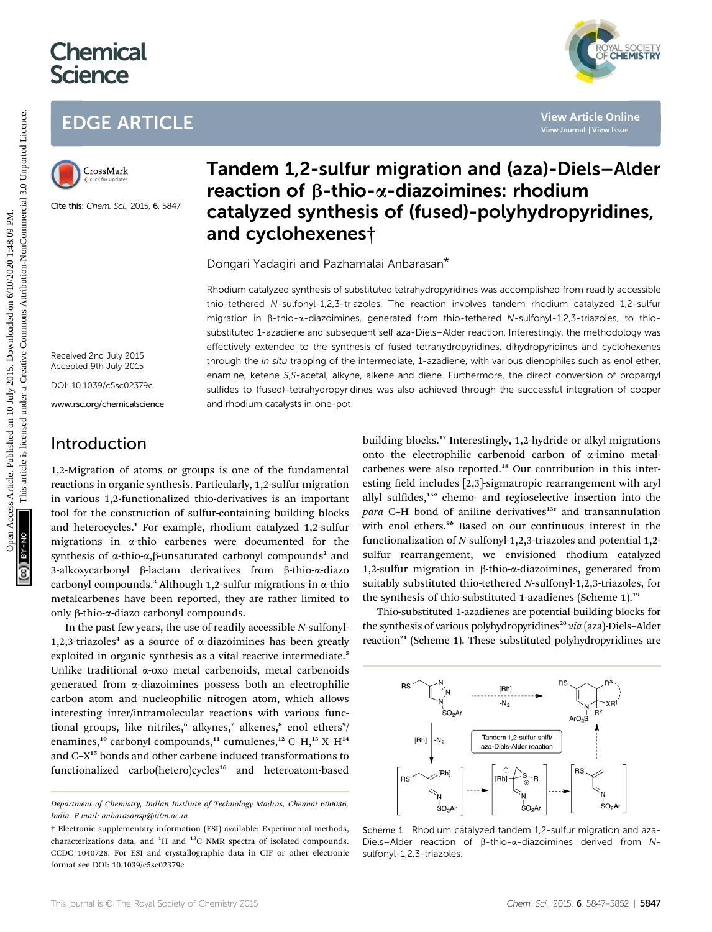# **Chemical Science**



## EDGE ARTICLE



Cite this: Chem. Sci., 2015, 6, 5847

## Tandem 1,2-sulfur migration and (aza)-Diels–Alder reaction of  $\beta$ -thio- $\alpha$ -diazoimines: rhodium catalyzed synthesis of (fused)-polyhydropyridines, and cyclohexenes†

Dongari Yadagiri and Pazhamalai Anbarasan\*

Rhodium catalyzed synthesis of substituted tetrahydropyridines was accomplished from readily accessible thio-tethered N-sulfonyl-1,2,3-triazoles. The reaction involves tandem rhodium catalyzed 1,2-sulfur migration in b-thio-a-diazoimines, generated from thio-tethered N-sulfonyl-1,2,3-triazoles, to thiosubstituted 1-azadiene and subsequent self aza-Diels–Alder reaction. Interestingly, the methodology was effectively extended to the synthesis of fused tetrahydropyridines, dihydropyridines and cyclohexenes through the in situ trapping of the intermediate, 1-azadiene, with various dienophiles such as enol ether, enamine, ketene S,S-acetal, alkyne, alkene and diene. Furthermore, the direct conversion of propargyl sulfides to (fused)-tetrahydropyridines was also achieved through the successful integration of copper and rhodium catalysts in one-pot. EDGE ARTICLE<br>
Translation **Tandem 1,2-sulfur migration and (aza)-Diels-Alcherine<br>
Fraction of B-thio-α-diazoimines: rhodium<br>
Catalyzed synthesis of (fused)-polyhydropyridine<br>
Catalyzed synthesis of (fused)-polyhydropyridin** 

# Introduction

Received 2nd July 2015 Accepted 9th July 2015 DOI: 10.1039/c5sc02379c www.rsc.org/chemicalscience

1,2-Migration of atoms or groups is one of the fundamental reactions in organic synthesis. Particularly, 1,2-sulfur migration in various 1,2-functionalized thio-derivatives is an important tool for the construction of sulfur-containing building blocks and heterocycles.<sup>1</sup> For example, rhodium catalyzed 1,2-sulfur migrations in a-thio carbenes were documented for the synthesis of  $\alpha$ -thio- $\alpha$ , $\beta$ -unsaturated carbonyl compounds<sup>2</sup> and 3-alkoxycarbonyl  $\beta$ -lactam derivatives from  $\beta$ -thio- $\alpha$ -diazo carbonyl compounds.<sup>3</sup> Although 1,2-sulfur migrations in  $\alpha$ -thio metalcarbenes have been reported, they are rather limited to only b-thio-a-diazo carbonyl compounds.

In the past few years, the use of readily accessible N-sulfonyl-1,2,3-triazoles<sup>4</sup> as a source of  $\alpha$ -diazoimines has been greatly exploited in organic synthesis as a vital reactive intermediate.<sup>5</sup> Unlike traditional a-oxo metal carbenoids, metal carbenoids generated from a-diazoimines possess both an electrophilic carbon atom and nucleophilic nitrogen atom, which allows interesting inter/intramolecular reactions with various functional groups, like nitriles,<sup>6</sup> alkynes,<sup>7</sup> alkenes,<sup>8</sup> enol ethers<sup>9</sup>/ enamines,<sup>10</sup> carbonyl compounds,<sup>11</sup> cumulenes,<sup>12</sup> C-H,<sup>13</sup> X-H<sup>14</sup> and C–X<sup>15</sup> bonds and other carbene induced transformations to functionalized carbo(hetero)cycles<sup>16</sup> and heteroatom-based

building blocks.<sup>17</sup> Interestingly, 1,2-hydride or alkyl migrations onto the electrophilic carbenoid carbon of a-imino metalcarbenes were also reported.<sup>18</sup> Our contribution in this interesting field includes [2,3]-sigmatropic rearrangement with aryl allyl sulfides, $15a$  chemo- and regioselective insertion into the para C-H bond of aniline derivatives<sup>13c</sup> and transannulation with enol ethers.<sup>9b</sup> Based on our continuous interest in the functionalization of N-sulfonyl-1,2,3-triazoles and potential 1,2 sulfur rearrangement, we envisioned rhodium catalyzed 1,2-sulfur migration in  $\beta$ -thio- $\alpha$ -diazoimines, generated from suitably substituted thio-tethered N-sulfonyl-1,2,3-triazoles, for the synthesis of thio-substituted 1-azadienes (Scheme 1).19

Thio-substituted 1-azadienes are potential building blocks for the synthesis of various polyhydropyridines<sup>20</sup> via (aza)-Diels-Alder reaction $21$  (Scheme 1). These substituted polyhydropyridines are



Scheme 1 Rhodium catalyzed tandem 1,2-sulfur migration and aza-Diels–Alder reaction of  $\beta$ -thio- $\alpha$ -diazoimines derived from Nsulfonyl-1,2,3-triazoles.

Department of Chemistry, Indian Institute of Technology Madras, Chennai 600036, India. E-mail: anbarasansp@iitm.ac.in

<sup>†</sup> Electronic supplementary information (ESI) available: Experimental methods, characterizations data, and  $^{1}$ H and  $^{13}$ C NMR spectra of isolated compounds. CCDC 1040728. For ESI and crystallographic data in CIF or other electronic format see DOI: 10.1039/c5sc02379c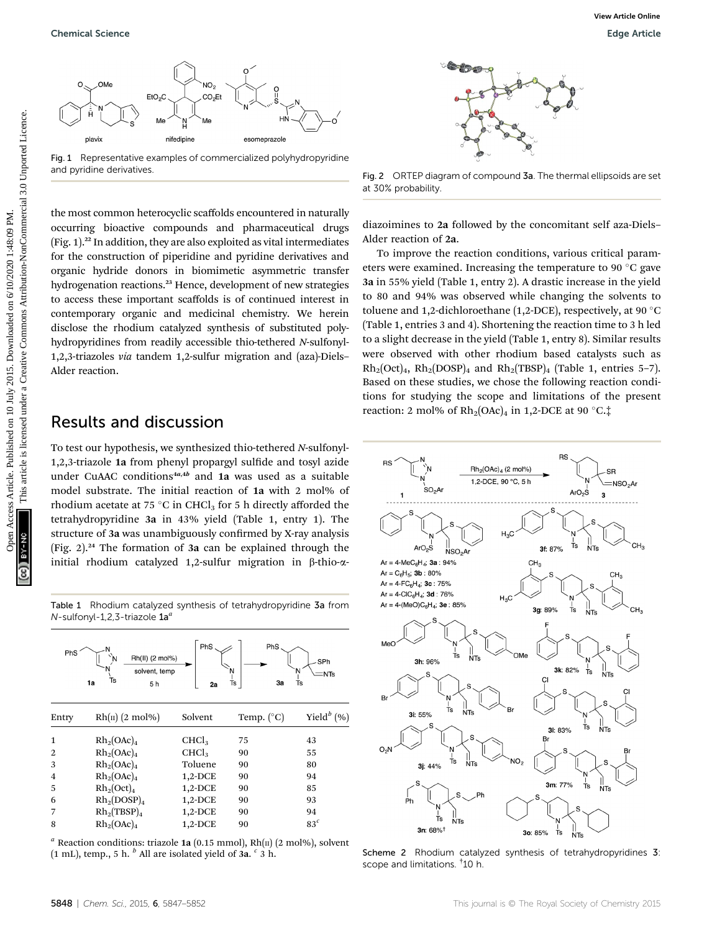

Fig. 1 Representative examples of commercialized polyhydropyridine and pyridine derivatives.

the most common heterocyclic scaffolds encountered in naturally occurring bioactive compounds and pharmaceutical drugs  $(Fig. 1).<sup>22</sup>$  In addition, they are also exploited as vital intermediates for the construction of piperidine and pyridine derivatives and organic hydride donors in biomimetic asymmetric transfer hydrogenation reactions.<sup>23</sup> Hence, development of new strategies to access these important scaffolds is of continued interest in contemporary organic and medicinal chemistry. We herein disclose the rhodium catalyzed synthesis of substituted polyhydropyridines from readily accessible thio-tethered N-sulfonyl-1,2,3-triazoles via tandem 1,2-sulfur migration and (aza)-Diels– Alder reaction.

#### Results and discussion

To test our hypothesis, we synthesized thio-tethered N-sulfonyl-1,2,3-triazole 1a from phenyl propargyl sulfide and tosyl azide under CuAAC conditions $4a,4b$  and 1a was used as a suitable model substrate. The initial reaction of 1a with 2 mol% of rhodium acetate at 75 °C in CHCl<sub>3</sub> for 5 h directly afforded the tetrahydropyridine 3a in 43% yield (Table 1, entry 1). The structure of 3a was unambiguously confirmed by X-ray analysis (Fig. 2).<sup>24</sup> The formation of 3a can be explained through the initial rhodium catalyzed 1,2-sulfur migration in  $\beta$ -thio- $\alpha$ -

Table 1 Rhodium catalyzed synthesis of tetrahydropyridine 3a from  $N$ -sulfonyl-1,2,3-triazole  $1a^a$ 

| PhS            | Rh(II) (2 mol%)<br>solvent, temp<br>Ts<br>1a<br>5h | PhS<br>2a         | PhS<br>Ts<br>За     | SPh<br>N<br>$=$ NTs<br>Ts |
|----------------|----------------------------------------------------|-------------------|---------------------|---------------------------|
| Entry          | $Rh(II)$ (2 mol%)                                  | Solvent           | Temp. $(^{\circ}C)$ | Yield $^b$ (%)            |
| 1              | $Rh_2(OAc)_4$                                      | CHCl <sub>3</sub> | 75                  | 43                        |
| $\overline{2}$ | $Rh_2(OAc)_4$                                      | CHCl <sub>3</sub> | 90                  | 55                        |
| 3              | $Rh_2(OAc)_4$                                      | Toluene           | 90                  | 80                        |
| 4              | $Rh_2(OAc)_4$                                      | $1,2$ -DCE        | 90                  | 94                        |
| 5              | $Rh_2(Oct)_4$                                      | $1,2$ -DCE        | 90                  | 85                        |
| 6              | $Rh_2(DOSP)_4$                                     | $1,2$ -DCE        | 90                  | 93                        |
| 7              | $Rh_2(TBSP)_4$                                     | $1,2$ -DCE        | 90                  | 94                        |
| 8              | $Rh_2(OAc)_4$                                      | $1,2$ -DCE        | 90                  | 83 <sup>c</sup>           |

<sup>a</sup> Reaction conditions: triazole 1a (0.15 mmol), Rh( $\pi$ ) (2 mol%), solvent (1 mL), temp., 5 h.  $\frac{b}{c}$  All are isolated yield of 3a.  $\frac{c}{c}$  3 h.



Fig. 2 ORTEP diagram of compound 3a. The thermal ellipsoids are set at 30% probability.

diazoimines to 2a followed by the concomitant self aza-Diels– Alder reaction of 2a.

To improve the reaction conditions, various critical parameters were examined. Increasing the temperature to 90 $\degree$ C gave 3a in 55% yield (Table 1, entry 2). A drastic increase in the yield to 80 and 94% was observed while changing the solvents to toluene and 1,2-dichloroethane (1,2-DCE), respectively, at 90  $\degree$ C (Table 1, entries 3 and 4). Shortening the reaction time to 3 h led to a slight decrease in the yield (Table 1, entry 8). Similar results were observed with other rhodium based catalysts such as  $Rh_2(Oct)_4$ ,  $Rh_2(DOSP)_4$  and  $Rh_2(TBSP)_4$  (Table 1, entries 5-7). Based on these studies, we chose the following reaction conditions for studying the scope and limitations of the present reaction: 2 mol% of  $Rh_2(OAc)_4$  in 1,2-DCE at 90 °C. $\ddagger$ Openical Science<br>
Comparison Access Article. Published on 10 July 2015. Downloaded on 10 July 2015. Downloaded a strain common and the strain common and the strain common and the strain common and the strain common and th



Scheme 2 Rhodium catalyzed synthesis of tetrahydropyridines 3: scope and limitations. † 10 h.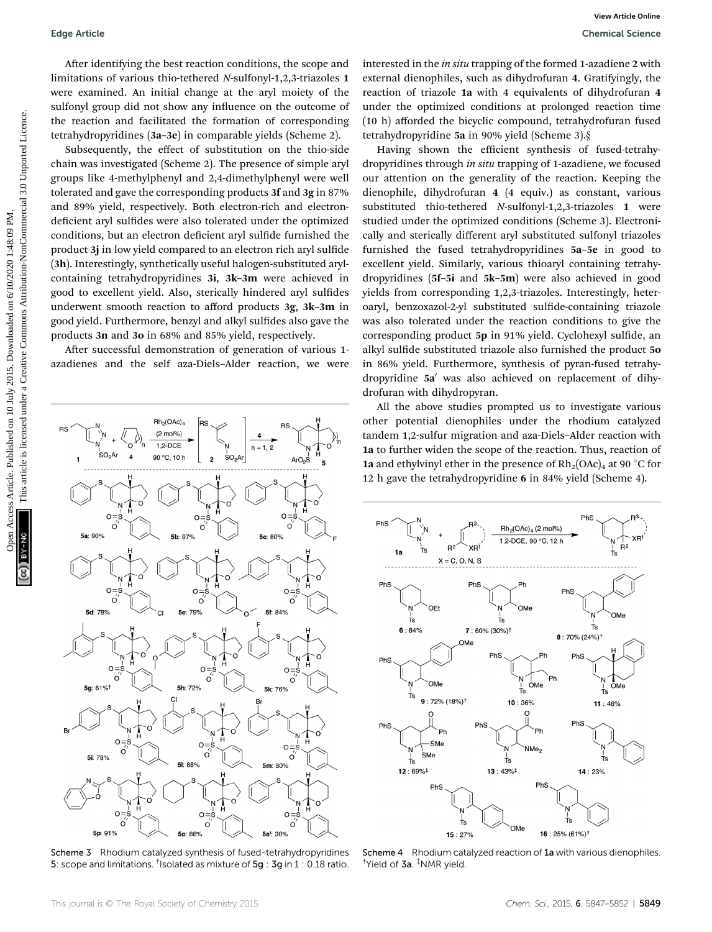After identifying the best reaction conditions, the scope and limitations of various thio-tethered <sup>N</sup>-sulfonyl-1,2,3-triazoles 1 were examined. An initial change at the aryl moiety of the sulfonyl group did not show any influence on the outcome of the reaction and facilitated the formation of corresponding tetrahydropyridines (3a–3e) in comparable yields (Scheme 2).

Subsequently, the effect of substitution on the thio-side chain was investigated (Scheme 2). The presence of simple aryl groups like 4-methylphenyl and 2,4-dimethylphenyl were well tolerated and gave the corresponding products 3f and 3g in 87% and 89% yield, respectively. Both electron-rich and electrondeficient aryl sulfides were also tolerated under the optimized conditions, but an electron deficient aryl sulfide furnished the product 3j in low yield compared to an electron rich aryl sulfide (3h). Interestingly, synthetically useful halogen-substituted arylcontaining tetrahydropyridines 3i, 3k–3m were achieved in good to excellent yield. Also, sterically hindered aryl sulfides underwent smooth reaction to afford products 3g, 3k–3m in good yield. Furthermore, benzyl and alkyl sulfides also gave the products 3n and 3o in 68% and 85% yield, respectively.

After successful demonstration of generation of various 1azadienes and the self aza-Diels–Alder reaction, we were



Scheme 3 Rhodium catalyzed synthesis of fused-tetrahydropyridines 5: scope and limitations. <sup>†</sup>Isolated as mixture of 5g : 3g in 1 : 0.18 ratio.

interested in the in situ trapping of the formed 1-azadiene 2 with external dienophiles, such as dihydrofuran 4. Gratifyingly, the reaction of triazole 1a with 4 equivalents of dihydrofuran 4 under the optimized conditions at prolonged reaction time (10 h) afforded the bicyclic compound, tetrahydrofuran fused tetrahydropyridine 5a in 90% yield (Scheme 3).§

Having shown the efficient synthesis of fused-tetrahydropyridines through in situ trapping of 1-azadiene, we focused our attention on the generality of the reaction. Keeping the dienophile, dihydrofuran 4 (4 equiv.) as constant, various substituted thio-tethered <sup>N</sup>-sulfonyl-1,2,3-triazoles 1 were studied under the optimized conditions (Scheme 3). Electronically and sterically different aryl substituted sulfonyl triazoles furnished the fused tetrahydropyridines 5a–5e in good to excellent yield. Similarly, various thioaryl containing tetrahydropyridines (5f–5i and 5k–5m) were also achieved in good yields from corresponding 1,2,3-triazoles. Interestingly, heteroaryl, benzoxazol-2-yl substituted sulfide-containing triazole was also tolerated under the reaction conditions to give the corresponding product 5p in 91% yield. Cyclohexyl sulfide, an alkyl sulfide substituted triazole also furnished the product 50 in 86% yield. Furthermore, synthesis of pyran-fused tetrahydropyridine 5a' was also achieved on replacement of dihydrofuran with dihydropyran. Edge Article<br>
After Lemitian conditions, the scept and interessed interessed interessed interests are both common of the creative common and distribution of common and the creative common and the creative common and the c

All the above studies prompted us to investigate various other potential dienophiles under the rhodium catalyzed tandem 1,2-sulfur migration and aza-Diels–Alder reaction with 1a to further widen the scope of the reaction. Thus, reaction of 1a and ethylvinyl ether in the presence of  $Rh_2(OAc)_4$  at 90 °C for 12 h gave the tetrahydropyridine 6 in 84% yield (Scheme 4).



Scheme 4 Rhodium catalyzed reaction of 1a with various dienophiles † Yield of 3a. ‡ NMR yield.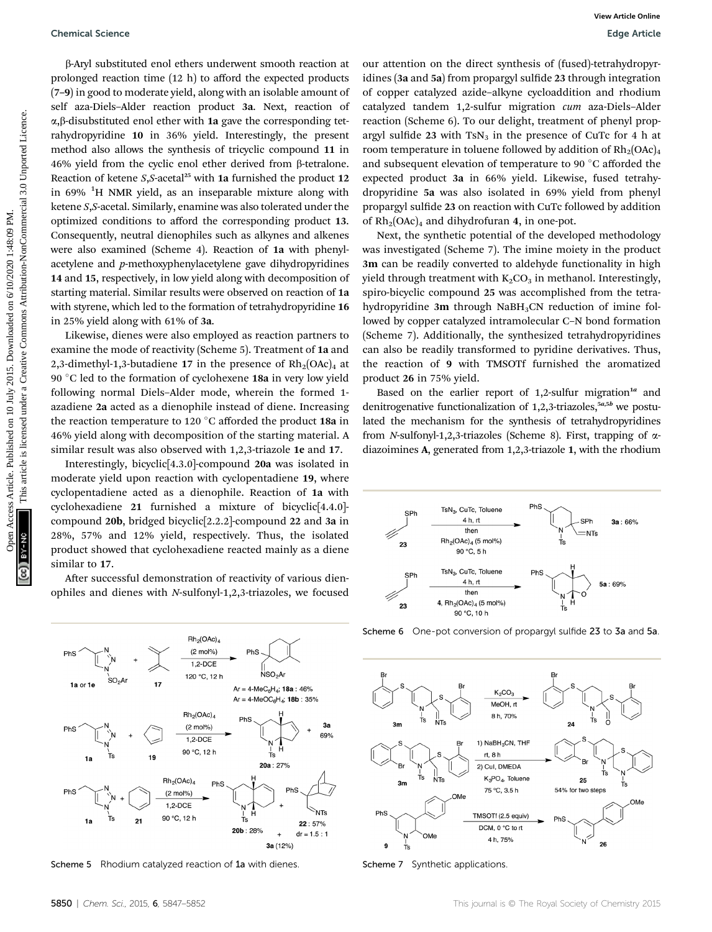b-Aryl substituted enol ethers underwent smooth reaction at prolonged reaction time (12 h) to afford the expected products (7–9) in good to moderate yield, along with an isolable amount of self aza-Diels–Alder reaction product 3a. Next, reaction of  $\alpha$ , $\beta$ -disubstituted enol ether with 1a gave the corresponding tetrahydropyridine 10 in 36% yield. Interestingly, the present method also allows the synthesis of tricyclic compound 11 in 46% yield from the cyclic enol ether derived from β-tetralone. Reaction of ketene  $S$ , S-acetal<sup>25</sup> with 1a furnished the product 12 in 69% <sup>1</sup>H NMR yield, as an inseparable mixture along with ketene S,S-acetal. Similarly, enamine was also tolerated under the optimized conditions to afford the corresponding product 13. Consequently, neutral dienophiles such as alkynes and alkenes were also examined (Scheme 4). Reaction of 1a with phenylacetylene and p-methoxyphenylacetylene gave dihydropyridines 14 and 15, respectively, in low yield along with decomposition of starting material. Similar results were observed on reaction of 1a with styrene, which led to the formation of tetrahydropyridine 16 in 25% yield along with 61% of 3a. Openical Science<br>
Peday stabilization and the reaction of the stabilization of the stabilization of the stabilization of the stabilization of the stabilization of the stabilization of the stabilization of the stabilizatio

Likewise, dienes were also employed as reaction partners to examine the mode of reactivity (Scheme 5). Treatment of 1a and 2,3-dimethyl-1,3-butadiene 17 in the presence of  $Rh_2(OAc)_4$  at 90 °C led to the formation of cyclohexene 18a in very low yield following normal Diels–Alder mode, wherein the formed 1 azadiene 2a acted as a dienophile instead of diene. Increasing the reaction temperature to 120  $\degree$ C afforded the product 18a in 46% yield along with decomposition of the starting material. A similar result was also observed with 1,2,3-triazole 1e and 17.

Interestingly, bicyclic[4.3.0]-compound 20a was isolated in moderate yield upon reaction with cyclopentadiene 19, where cyclopentadiene acted as a dienophile. Reaction of 1a with cyclohexadiene 21 furnished a mixture of bicyclic[4.4.0] compound 20b, bridged bicyclic[2.2.2]-compound 22 and 3a in 28%, 57% and 12% yield, respectively. Thus, the isolated product showed that cyclohexadiene reacted mainly as a diene similar to 17.

After successful demonstration of reactivity of various dienophiles and dienes with N-sulfonyl-1,2,3-triazoles, we focused our attention on the direct synthesis of (fused)-tetrahydropyridines (3a and 5a) from propargyl sulfide 23 through integration of copper catalyzed azide–alkyne cycloaddition and rhodium catalyzed tandem 1,2-sulfur migration cum aza-Diels–Alder reaction (Scheme 6). To our delight, treatment of phenyl propargyl sulfide 23 with  $TsN_3$  in the presence of CuTc for 4 h at room temperature in toluene followed by addition of  $Rh_2(OAc)_4$ and subsequent elevation of temperature to 90 °C afforded the expected product 3a in 66% yield. Likewise, fused tetrahydropyridine 5a was also isolated in 69% yield from phenyl propargyl sulfide 23 on reaction with CuTc followed by addition of  $Rh_2(OAc)_4$  and dihydrofuran 4, in one-pot.

Next, the synthetic potential of the developed methodology was investigated (Scheme 7). The imine moiety in the product 3m can be readily converted to aldehyde functionality in high yield through treatment with  $K_2CO_3$  in methanol. Interestingly, spiro-bicyclic compound 25 was accomplished from the tetrahydropyridine 3m through  $N$ aBH<sub>3</sub>CN reduction of imine followed by copper catalyzed intramolecular C–N bond formation (Scheme 7). Additionally, the synthesized tetrahydropyridines can also be readily transformed to pyridine derivatives. Thus, the reaction of 9 with TMSOTf furnished the aromatized product 26 in 75% yield.

Based on the earlier report of 1,2-sulfur migration<sup>1a</sup> and denitrogenative functionalization of  $1,2,3$ -triazoles, $5a,5b$  we postulated the mechanism for the synthesis of tetrahydropyridines from *N*-sulfonyl-1,2,3-triazoles (Scheme 8). First, trapping of  $\alpha$ diazoimines A, generated from 1,2,3-triazole 1, with the rhodium





Scheme 5 Rhodium catalyzed reaction of 1a with dienes. Scheme 7 Synthetic applications

Scheme 6 One-pot conversion of propargyl sulfide 23 to 3a and 5a.

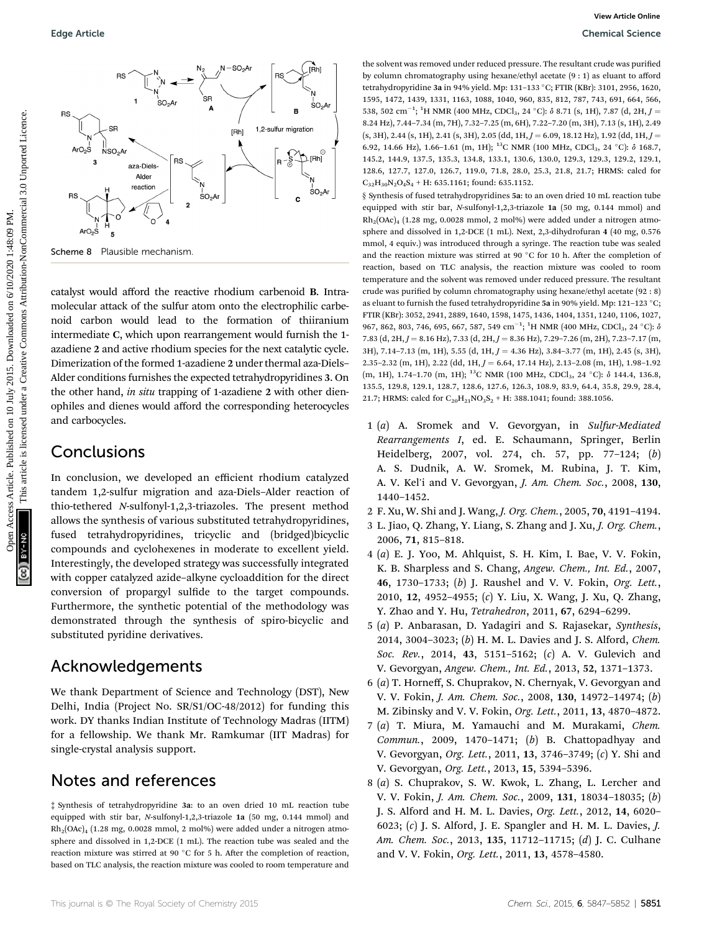

catalyst would afford the reactive rhodium carbenoid B. Intramolecular attack of the sulfur atom onto the electrophilic carbenoid carbon would lead to the formation of thiiranium intermediate C, which upon rearrangement would furnish the 1 azadiene 2 and active rhodium species for the next catalytic cycle. Dimerization of the formed 1-azadiene 2 under thermal aza-Diels– Alder conditions furnishes the expected tetrahydropyridines 3. On the other hand, in situ trapping of 1-azadiene 2 with other dienophiles and dienes would afford the corresponding heterocycles and carbocycles.

#### **Conclusions**

In conclusion, we developed an efficient rhodium catalyzed tandem 1,2-sulfur migration and aza-Diels–Alder reaction of thio-tethered N-sulfonyl-1,2,3-triazoles. The present method allows the synthesis of various substituted tetrahydropyridines, fused tetrahydropyridines, tricyclic and (bridged)bicyclic compounds and cyclohexenes in moderate to excellent yield. Interestingly, the developed strategy was successfully integrated with copper catalyzed azide–alkyne cycloaddition for the direct conversion of propargyl sulfide to the target compounds. Furthermore, the synthetic potential of the methodology was demonstrated through the synthesis of spiro-bicyclic and substituted pyridine derivatives.

#### Acknowledgements

We thank Department of Science and Technology (DST), New Delhi, India (Project No. SR/S1/OC-48/2012) for funding this work. DY thanks Indian Institute of Technology Madras (IITM) for a fellowship. We thank Mr. Ramkumar (IIT Madras) for single-crystal analysis support.

## Notes and references

‡ Synthesis of tetrahydropyridine 3a: to an oven dried 10 mL reaction tube equipped with stir bar, <sup>N</sup>-sulfonyl-1,2,3-triazole 1a (50 mg, 0.144 mmol) and Rh2(OAc)4 (1.28 mg, 0.0028 mmol, 2 mol%) were added under a nitrogen atmosphere and dissolved in 1,2-DCE (1 mL). The reaction tube was sealed and the reaction mixture was stirred at 90 $^{\circ}$ C for 5 h. After the completion of reaction, based on TLC analysis, the reaction mixture was cooled to room temperature and the solvent was removed under reduced pressure. The resultant crude was purified by column chromatography using hexane/ethyl acetate (9 : 1) as eluant to afford tetrahydropyridine 3a in 94% yield. Mp: 131-133 °C; FTIR (KBr): 3101, 2956, 1620, 1595, 1472, 1439, 1331, 1163, 1088, 1040, 960, 835, 812, 787, 743, 691, 664, 566, 538, 502 cm<sup>-1</sup>; <sup>1</sup>H NMR (400 MHz, CDCl<sub>3</sub>, 24 °C):  $\delta$  8.71 (s, 1H), 7.87 (d, 2H, J = 8.24 Hz), 7.44–7.34 (m, 7H), 7.32–7.25 (m, 6H), 7.22–7.20 (m, 3H), 7.13 (s, 1H), 2.49  $(s, 3H), 2.44 (s, 1H), 2.41 (s, 3H), 2.05 (dd, 1H, J = 6.09, 18.12 Hz), 1.92 (dd, 1H, J = 1.92)$ 6.92, 14.66 Hz), 1.66-1.61 (m, 1H); <sup>13</sup>C NMR (100 MHz, CDCl<sub>3</sub>, 24 °C): δ 168.7, 145.2, 144.9, 137.5, 135.3, 134.8, 133.1, 130.6, 130.0, 129.3, 129.3, 129.2, 129.1, 128.6, 127.7, 127.0, 126.7, 119.0, 71.8, 28.0, 25.3, 21.8, 21.7; HRMS: calcd for  $C_{32}H_{30}N_2O_4S_4$  + H: 635.1161; found: 635.1152.

§ Synthesis of fused tetrahydropyridines 5a: to an oven dried 10 mL reaction tube equipped with stir bar, <sup>N</sup>-sulfonyl-1,2,3-triazole 1a (50 mg, 0.144 mmol) and  $Rh<sub>2</sub>(OAc)<sub>4</sub>$  (1.28 mg, 0.0028 mmol, 2 mol%) were added under a nitrogen atmosphere and dissolved in 1,2-DCE (1 mL). Next, 2,3-dihydrofuran 4 (40 mg, 0.576 mmol, 4 equiv.) was introduced through a syringe. The reaction tube was sealed and the reaction mixture was stirred at 90 $\degree$ C for 10 h. After the completion of reaction, based on TLC analysis, the reaction mixture was cooled to room temperature and the solvent was removed under reduced pressure. The resultant crude was purified by column chromatography using hexane/ethyl acetate (92 : 8) as eluant to furnish the fused tetrahydropyridine 5a in 90% yield. Mp: 121-123 °C; FTIR (KBr): 3052, 2941, 2889, 1640, 1598, 1475, 1436, 1404, 1351, 1240, 1106, 1027, 967, 862, 803, 746, 695, 667, 587, 549  $\rm cm^{-1};~^1H$  NMR (400 MHz, CDCl $_{\rm 3}$ , 24  $^{\circ}$ C):  $\delta$ 7.83 (d, 2H,  $J = 8.16$  Hz), 7.33 (d, 2H,  $J = 8.36$  Hz), 7.29–7.26 (m, 2H), 7.23–7.17 (m, 3H), 7.14–7.13 (m, 1H), 5.55 (d, 1H,  $J = 4.36$  Hz), 3.84–3.77 (m, 1H), 2.45 (s, 3H), 2.35-2.32 (m, 1H), 2.22 (dd, 1H,  $J = 6.64$ , 17.14 Hz), 2.13-2.08 (m, 1H), 1.98-1.92 (m, 1H), 1.74-1.70 (m, 1H); <sup>13</sup>C NMR (100 MHz, CDCl<sub>3</sub>, 24 °C): δ 144.4, 136.8, 135.5, 129.8, 129.1, 128.7, 128.6, 127.6, 126.3, 108.9, 83.9, 64.4, 35.8, 29.9, 28.4, 21.7; HRMS: calcd for  $C_{20}H_{21}NO_3S_2 + H: 388.1041$ ; found: 388.1056.

- 1 (a) A. Sromek and V. Gevorgyan, in Sulfur-Mediated Rearrangements I, ed. E. Schaumann, Springer, Berlin Heidelberg, 2007, vol. 274, ch. 57, pp. 77–124; (b) A. S. Dudnik, A. W. Sromek, M. Rubina, J. T. Kim, A. V. Kel'i and V. Gevorgyan, J. Am. Chem. Soc., 2008, 130, 1440–1452.
- 2 F. Xu, W. Shi and J. Wang, J. Org. Chem., 2005, 70, 4191–4194.
- 3 L. Jiao, Q. Zhang, Y. Liang, S. Zhang and J. Xu, J. Org. Chem., 2006, 71, 815–818.
- 4 (a) E. J. Yoo, M. Ahlquist, S. H. Kim, I. Bae, V. V. Fokin, K. B. Sharpless and S. Chang, Angew. Chem., Int. Ed., 2007, 46, 1730–1733; (b) J. Raushel and V. V. Fokin, Org. Lett., 2010, 12, 4952–4955; (c) Y. Liu, X. Wang, J. Xu, Q. Zhang, Y. Zhao and Y. Hu, Tetrahedron, 2011, 67, 6294–6299.
- 5 (a) P. Anbarasan, D. Yadagiri and S. Rajasekar, Synthesis, 2014, 3004–3023; (b) H. M. L. Davies and J. S. Alford, Chem. Soc. Rev., 2014, 43, 5151–5162; (c) A. V. Gulevich and V. Gevorgyan, Angew. Chem., Int. Ed., 2013, 52, 1371–1373.
- 6 (a) T. Horneff, S. Chuprakov, N. Chernyak, V. Gevorgyan and V. V. Fokin, J. Am. Chem. Soc., 2008, <sup>130</sup>, 14972–14974; (b) M. Zibinsky and V. V. Fokin, Org. Lett., 2011, 13, 4870–4872.
- 7 (a) T. Miura, M. Yamauchi and M. Murakami, Chem. Commun., 2009, 1470–1471; (b) B. Chattopadhyay and V. Gevorgyan, Org. Lett., 2011, 13, 3746–3749; (c) Y. Shi and V. Gevorgyan, Org. Lett., 2013, 15, 5394–5396.
- 8 (a) S. Chuprakov, S. W. Kwok, L. Zhang, L. Lercher and V. V. Fokin, J. Am. Chem. Soc., 2009, 131, 18034–18035; (b) J. S. Alford and H. M. L. Davies, Org. Lett., 2012, 14, 6020– 6023; (c) J. S. Alford, J. E. Spangler and H. M. L. Davies, J. Am. Chem. Soc., 2013, 135, 11712–11715; (d) J. C. Culhane and V. V. Fokin, Org. Lett., 2011, 13, 4578–4580.